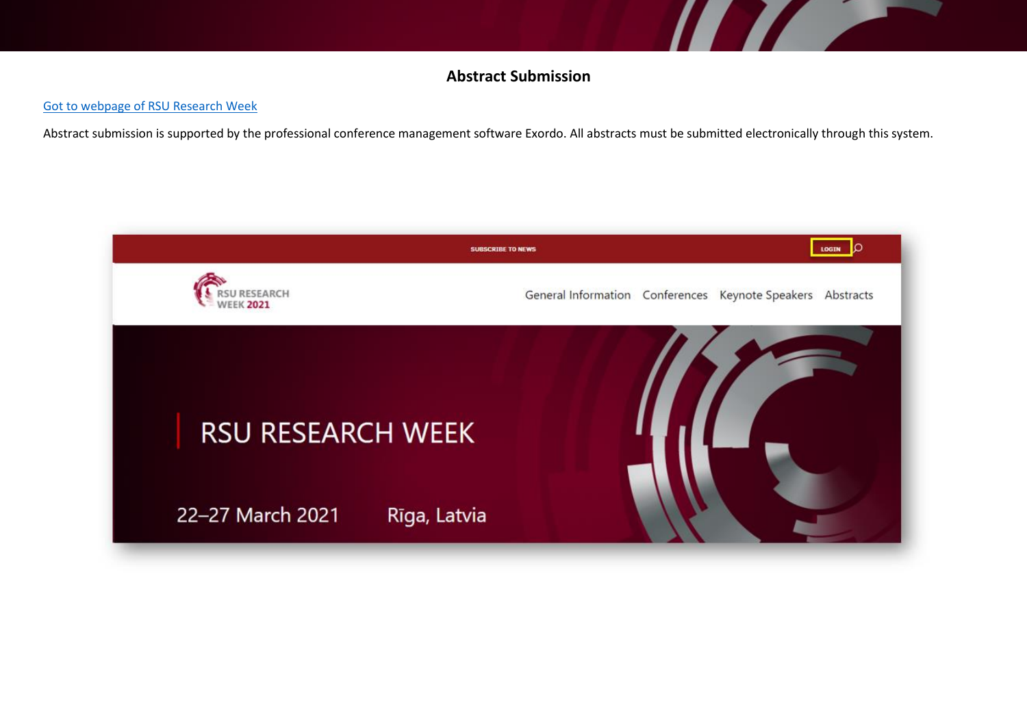## **Abstract Submission**

**Alternative** 

## [Got to webpage of RSU Research Week](https://rw2021.rsu.lv/)

Abstract submission is supported by the professional conference management software Exordo. All abstracts must be submitted electronically through this system.

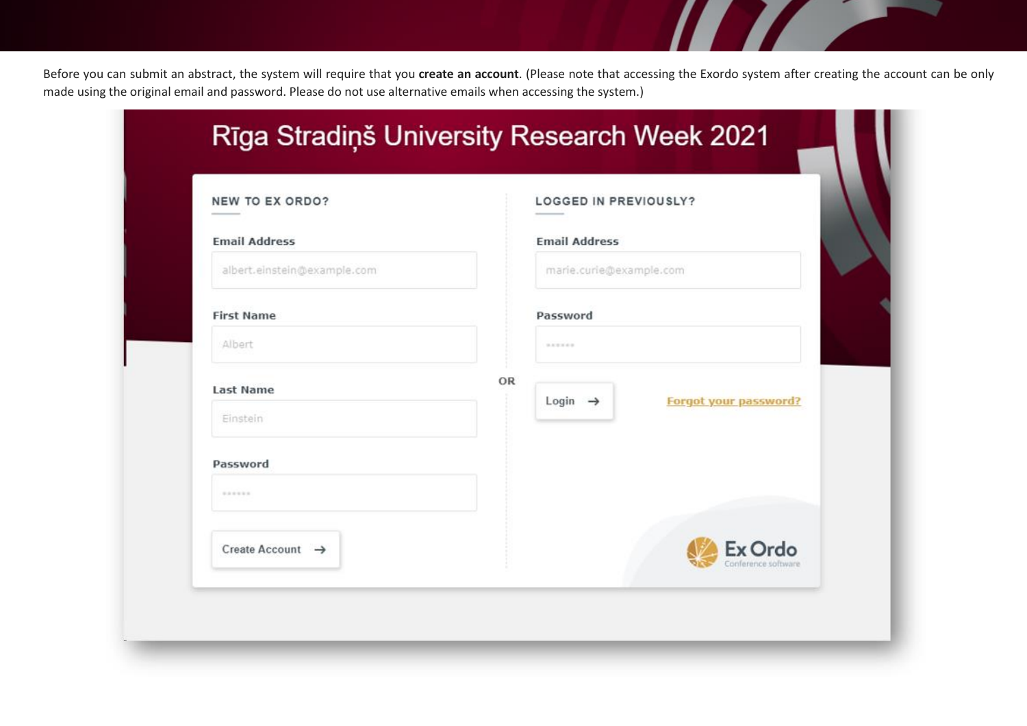Before you can submit an abstract, the system will require that you **create an account**. (Please note that accessing the Exordo system after creating the account can be only made using the original email and password. Please do not use alternative emails when accessing the system.)

T T T

| NEW TO EX ORDO?              |    | <b>LOGGED IN PREVIOUSLY?</b> |                              |
|------------------------------|----|------------------------------|------------------------------|
| <b>Email Address</b>         |    | <b>Email Address</b>         |                              |
| albert.einstein@example.com  |    | marie.curie@example.com      |                              |
| <b>First Name</b>            |    | Password                     |                              |
| Albert                       |    | <b>MARKER</b>                |                              |
| <b>Last Name</b>             | OR |                              |                              |
| Einstein                     |    | Login $\rightarrow$          | <b>Forgot your password?</b> |
| Password                     |    |                              |                              |
|                              |    |                              |                              |
| Create Account $\rightarrow$ |    |                              | Ex Ordo                      |
|                              |    |                              | Conference software          |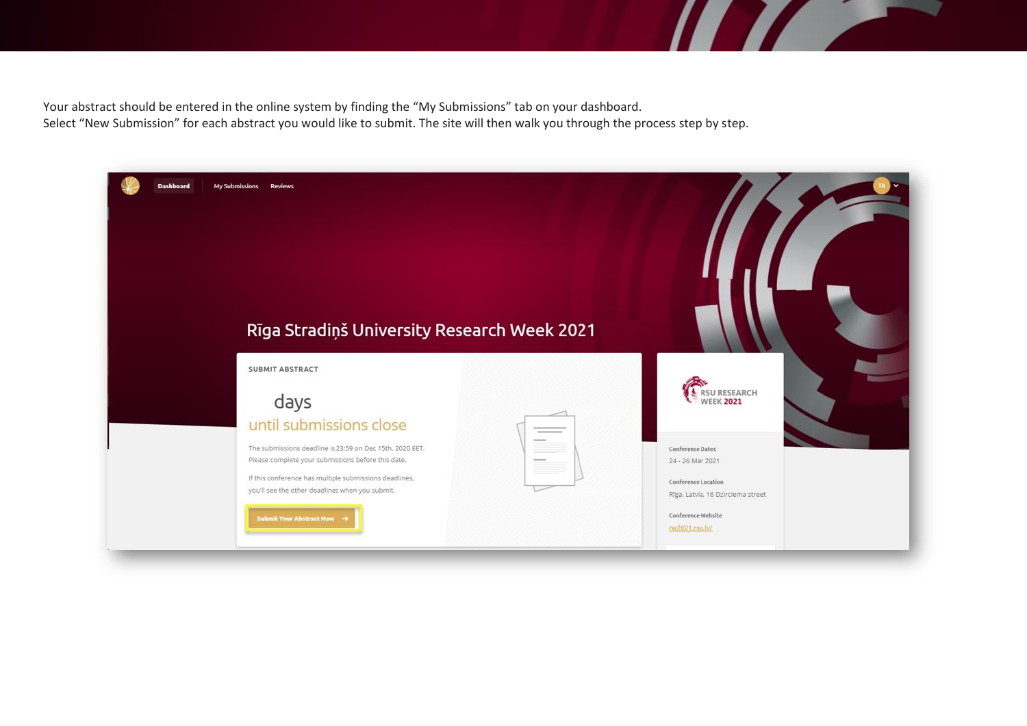Your abstract should be entered in the online system by finding the "My Submissions" tab on your dashboard. Select "New Submission" for each abstract you would like to submit. The site will then walk you through the process step by step.

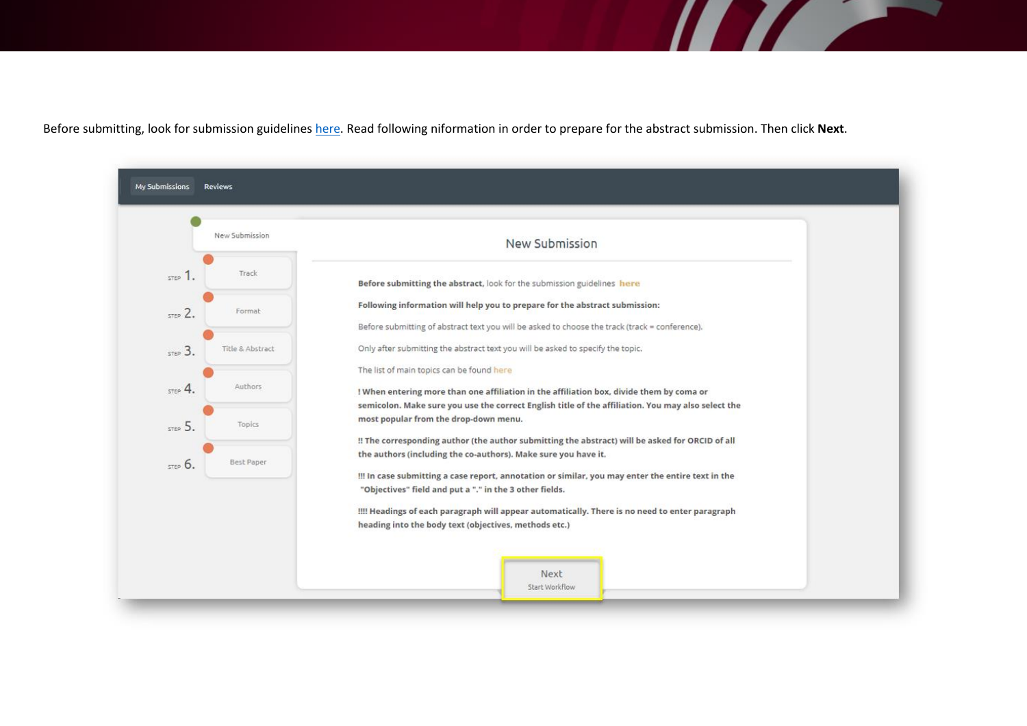Before submitting, look for submission guidelines [here.](https://rw2021.rsu.lv/abstracts/abstract-submission) Read following niformation in order to prepare for the abstract submission. Then click **Next**.

|         | New Submission   | New Submission                                                                                                                                                                                                                                                         |
|---------|------------------|------------------------------------------------------------------------------------------------------------------------------------------------------------------------------------------------------------------------------------------------------------------------|
| STEP 1. | Track            | Before submitting the abstract, look for the submission guidelines here                                                                                                                                                                                                |
| STEP 2. | Format           | Following information will help you to prepare for the abstract submission:<br>Before submitting of abstract text you will be asked to choose the track (track = conference).                                                                                          |
| STEP 3. | Title & Abstract | Only after submitting the abstract text you will be asked to specify the topic.                                                                                                                                                                                        |
| STEP 4. | Authors          | The list of main topics can be found here<br>! When entering more than one affiliation in the affiliation box, divide them by coma or                                                                                                                                  |
| STEP 5. | Topics           | semicolon. Make sure you use the correct English title of the affiliation. You may also select the<br>most popular from the drop-down menu.                                                                                                                            |
| 57506   | Best Paper       | !! The corresponding author (the author submitting the abstract) will be asked for ORCID of all<br>the authors (including the co-authors). Make sure you have it.<br>!!! In case submitting a case report, annotation or similar, you may enter the entire text in the |
|         |                  | "Objectives" field and put a "." in the 3 other fields.<br>!!!! Headings of each paragraph will appear automatically. There is no need to enter paragraph<br>heading into the body text (objectives, methods etc.)                                                     |

**The Common Second Service Service**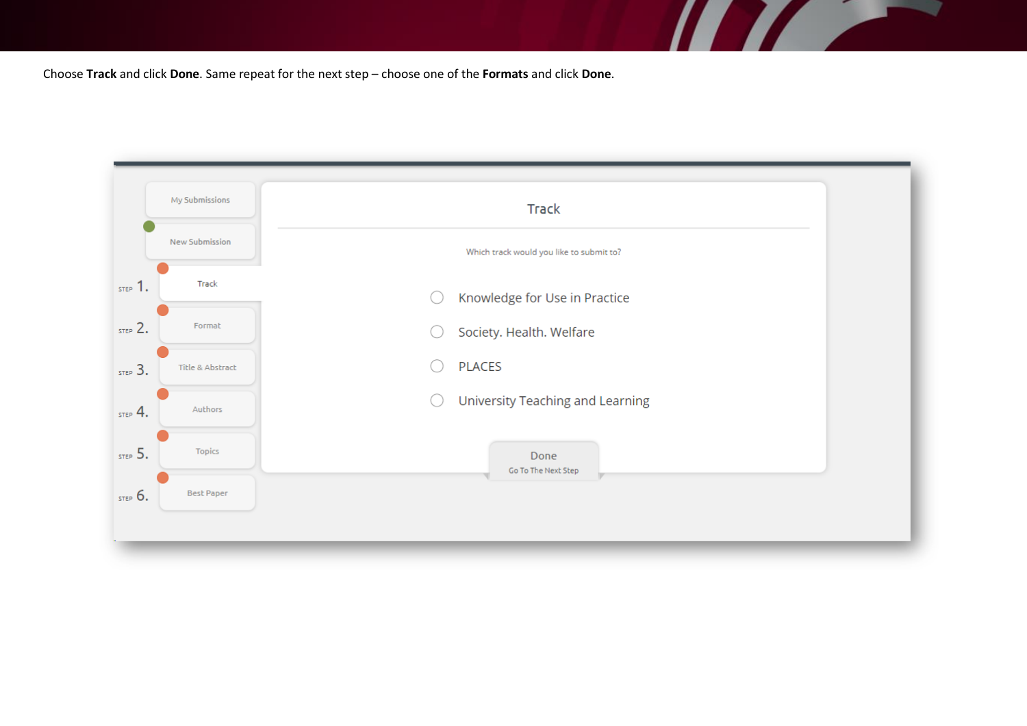Choose **Track** and click **Done**. Same repeat for the next step – choose one of the **Formats** and click **Done**.



**TAXABLE PROPERTY**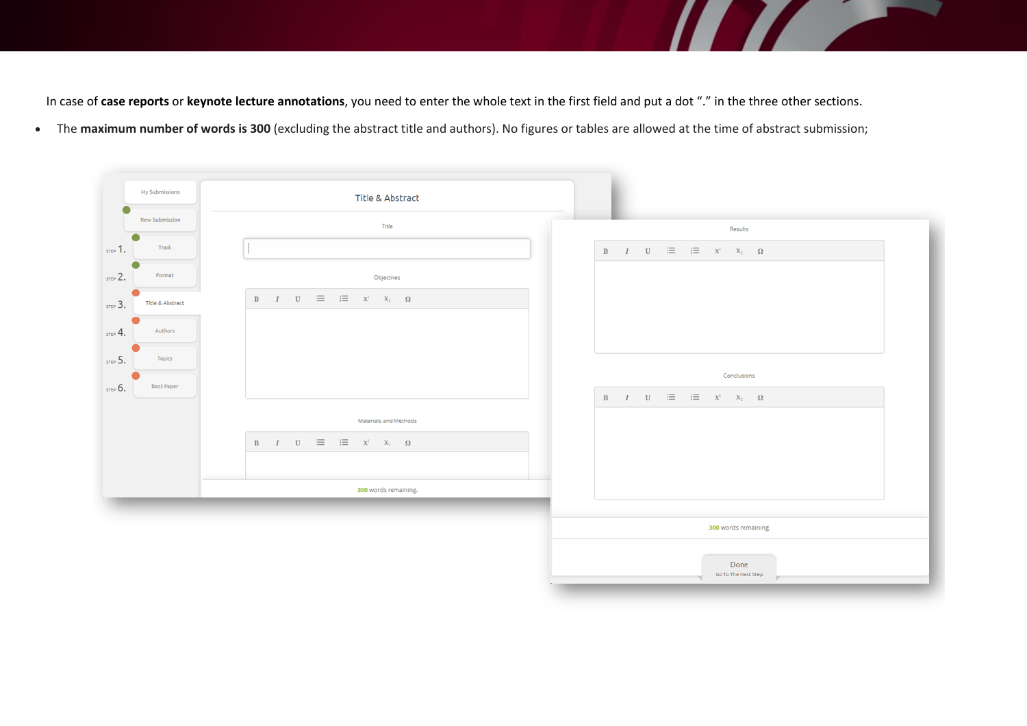In case of **case reports** or **keynote lecture annotations**, you need to enter the whole text in the first field and put a dot "." in the three other sections.

• The **maximum number of words is 300** (excluding the abstract title and authors). No figures or tables are allowed at the time of abstract submission;



<u>and the set of the set of the set of the set of the set of the set of the set of the set of the set of the set of the set of the set of the set of the set of the set of the set of the set of the set of the set of the set </u>

**Service**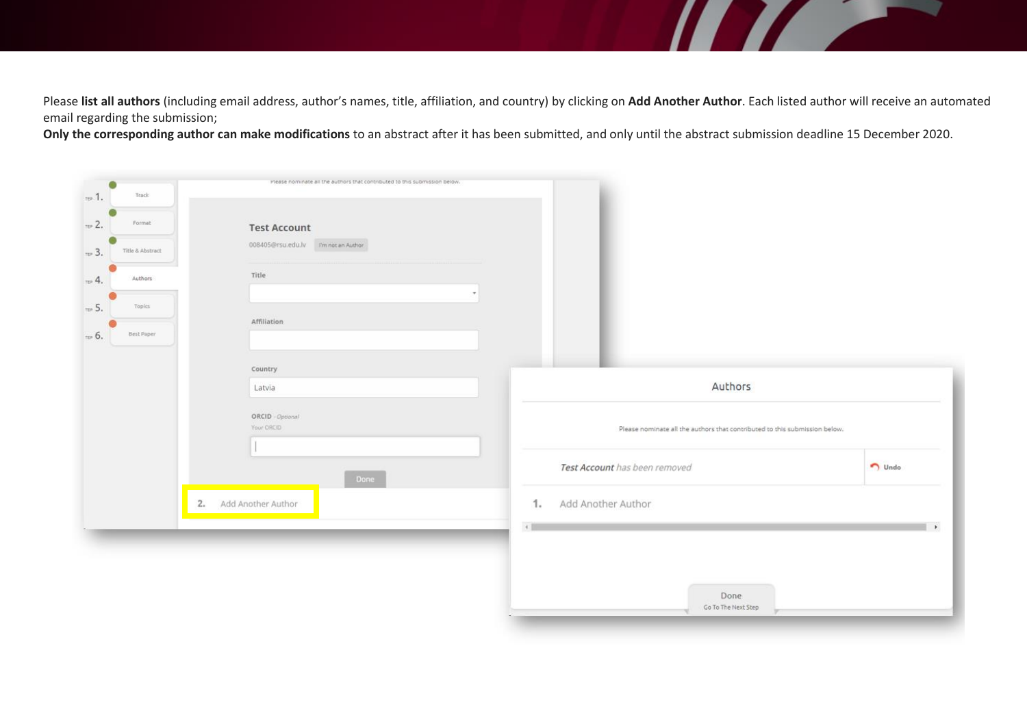Please **list all authors** (including email address, author's names, title, affiliation, and country) by clicking on **Add Another Author**. Each listed author will receive an automated email regarding the submission;

**TELEVISION NEWSFILM** 

**Only the corresponding author can make modifications** to an abstract after it has been submitted, and only until the abstract submission deadline 15 December 2020.

| $10-1$         | ۵<br>Track       | Prease nominate all the authors that contributed to this submission below. |                                                                            |               |
|----------------|------------------|----------------------------------------------------------------------------|----------------------------------------------------------------------------|---------------|
| $\approx$ 2.   | Formet           | <b>Test Account</b>                                                        |                                                                            |               |
| $\approx$ 3.   | Title & Abstract | 008405@rsu.edu.lv Fm not an Author                                         |                                                                            |               |
| $n \times 4$ . | Authors          | Title                                                                      |                                                                            |               |
| $\pi P$ 5.     | Topics           | Affiliation                                                                |                                                                            |               |
| $t = 6$ .      | Best Paper       |                                                                            |                                                                            |               |
|                |                  | Country<br>Latvia                                                          | Authors                                                                    |               |
|                |                  | ORCID - Optional<br>Your ORCID                                             | Please nominate all the authors that contributed to this submission below. |               |
|                |                  | Done                                                                       | Test Account has been removed                                              | $\n  Undo\n$  |
|                |                  | Add Another Author<br>2.                                                   | Add Another Author<br>1.<br>$\leftarrow$                                   | $\rightarrow$ |
|                |                  |                                                                            | Done<br>Go To The Next Step                                                |               |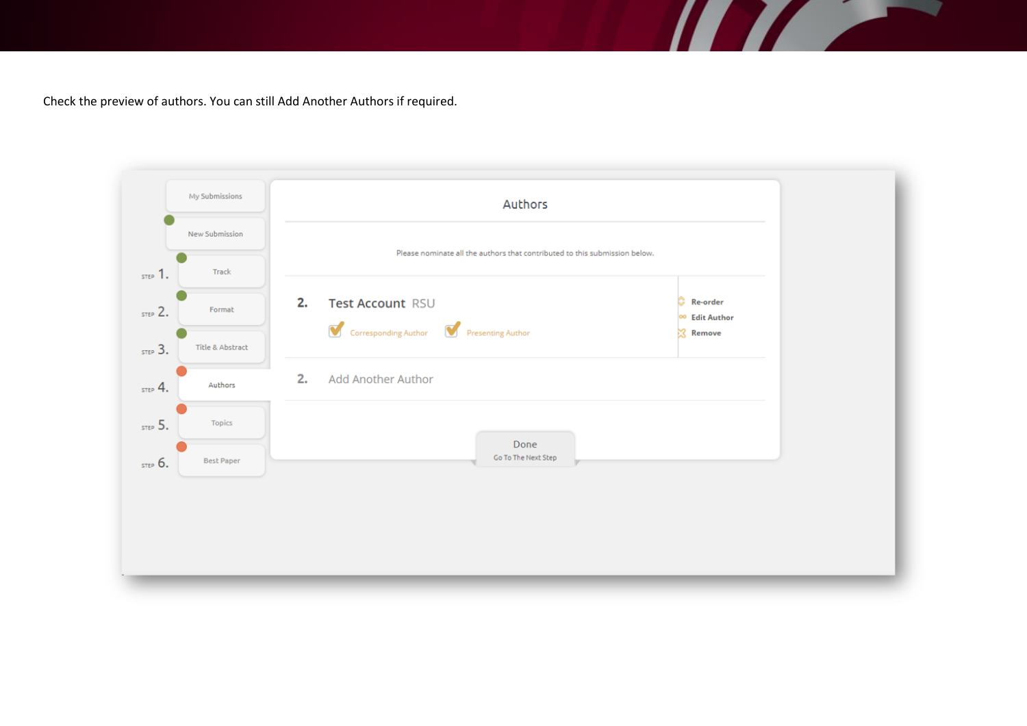Check the preview of authors. You can still Add Another Authors if required.



**TELEVISION**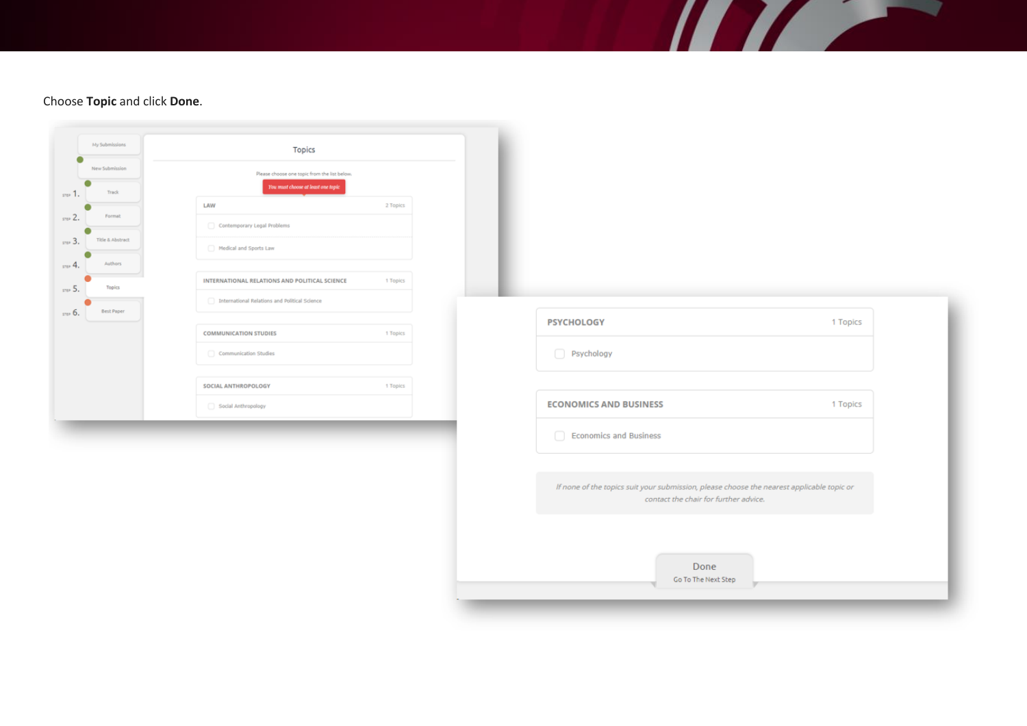## Choose **Topic** and click **Done**.

| My Submissions<br>Topics<br>New Submission<br>Please choose one topic from the list below.<br>You must choose at least one topic<br>Track<br>LAW<br>2 Topics<br>Format<br>Contemporary Legal Problems<br>Title & Abstract<br>Medical and Sports Law<br>Authors<br>INTERNATIONAL RELATIONS AND POLITICAL SCIENCE<br>1 Topics<br>Topics<br>International Relations and Political Science<br><b>Best Paper</b><br><b>PSYCHOLOGY</b><br>1 Topics<br><b>COMMUNICATION STUDIES</b><br>1 Topics |
|------------------------------------------------------------------------------------------------------------------------------------------------------------------------------------------------------------------------------------------------------------------------------------------------------------------------------------------------------------------------------------------------------------------------------------------------------------------------------------------|
|                                                                                                                                                                                                                                                                                                                                                                                                                                                                                          |
|                                                                                                                                                                                                                                                                                                                                                                                                                                                                                          |
|                                                                                                                                                                                                                                                                                                                                                                                                                                                                                          |
|                                                                                                                                                                                                                                                                                                                                                                                                                                                                                          |
|                                                                                                                                                                                                                                                                                                                                                                                                                                                                                          |
|                                                                                                                                                                                                                                                                                                                                                                                                                                                                                          |
|                                                                                                                                                                                                                                                                                                                                                                                                                                                                                          |
|                                                                                                                                                                                                                                                                                                                                                                                                                                                                                          |
|                                                                                                                                                                                                                                                                                                                                                                                                                                                                                          |
|                                                                                                                                                                                                                                                                                                                                                                                                                                                                                          |
| Psychology<br>Communication Studies                                                                                                                                                                                                                                                                                                                                                                                                                                                      |
|                                                                                                                                                                                                                                                                                                                                                                                                                                                                                          |
| SOCIAL ANTHROPOLOGY<br>1 Topics                                                                                                                                                                                                                                                                                                                                                                                                                                                          |
| <b>ECONOMICS AND BUSINESS</b><br>1 Topics<br>Social Anthropology                                                                                                                                                                                                                                                                                                                                                                                                                         |
| $\Box$<br><b>Economics and Business</b>                                                                                                                                                                                                                                                                                                                                                                                                                                                  |
|                                                                                                                                                                                                                                                                                                                                                                                                                                                                                          |
|                                                                                                                                                                                                                                                                                                                                                                                                                                                                                          |
| If none of the topics suit your submission, please choose the nearest applicable topic or<br>contact the chair for further advice.                                                                                                                                                                                                                                                                                                                                                       |
|                                                                                                                                                                                                                                                                                                                                                                                                                                                                                          |
|                                                                                                                                                                                                                                                                                                                                                                                                                                                                                          |
|                                                                                                                                                                                                                                                                                                                                                                                                                                                                                          |
| Done<br>Go To The Next Step                                                                                                                                                                                                                                                                                                                                                                                                                                                              |
|                                                                                                                                                                                                                                                                                                                                                                                                                                                                                          |

**The Second Second Second Second Second Second Second Second Second Second Second Second Second Second Second**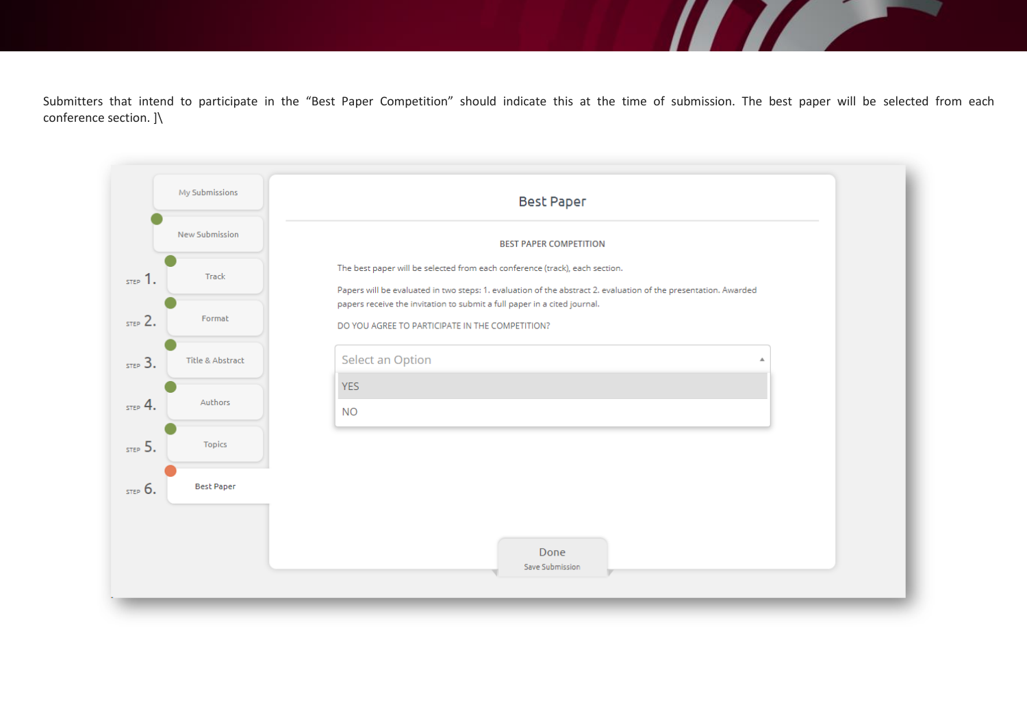Submitters that intend to participate in the "Best Paper Competition" should indicate this at the time of submission. The best paper will be selected from each conference section. ]\

**TAXABLE** 

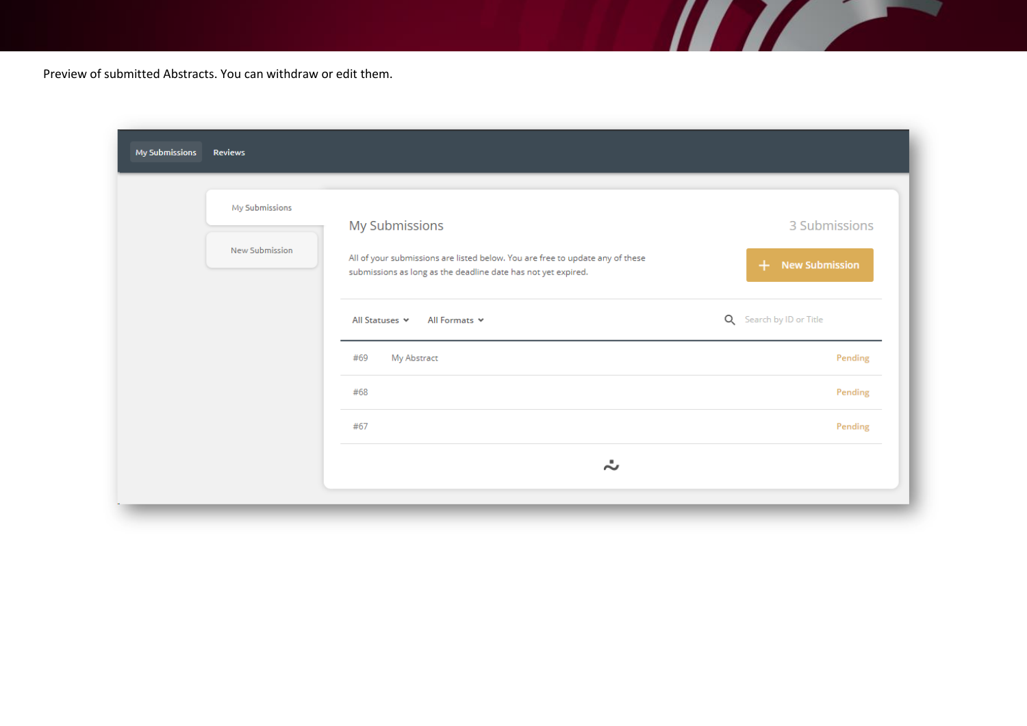Preview of submitted Abstracts. You can withdraw or edit them.

| My Submissions<br><b>Reviews</b> |                                                                                                                                                |                              |
|----------------------------------|------------------------------------------------------------------------------------------------------------------------------------------------|------------------------------|
| My Submissions                   | My Submissions                                                                                                                                 | 3 Submissions                |
| New Submission                   | All of your submissions are listed below. You are free to update any of these<br>submissions as long as the deadline date has not yet expired. | <b>New Submission</b><br>$+$ |
|                                  | All Statuses<br>All Formats $\vee$                                                                                                             | Q Search by ID or Title      |
|                                  | My Abstract<br>#69                                                                                                                             | Pending                      |
|                                  | #68                                                                                                                                            | Pending                      |
|                                  | #67                                                                                                                                            | Pending                      |
|                                  | ÷                                                                                                                                              |                              |

<u> Ali Alian Alian Alian Alian Alian Alian Alian Alian Alian Alian Alian Alian Alian Alian Alian Alian Alian A</u>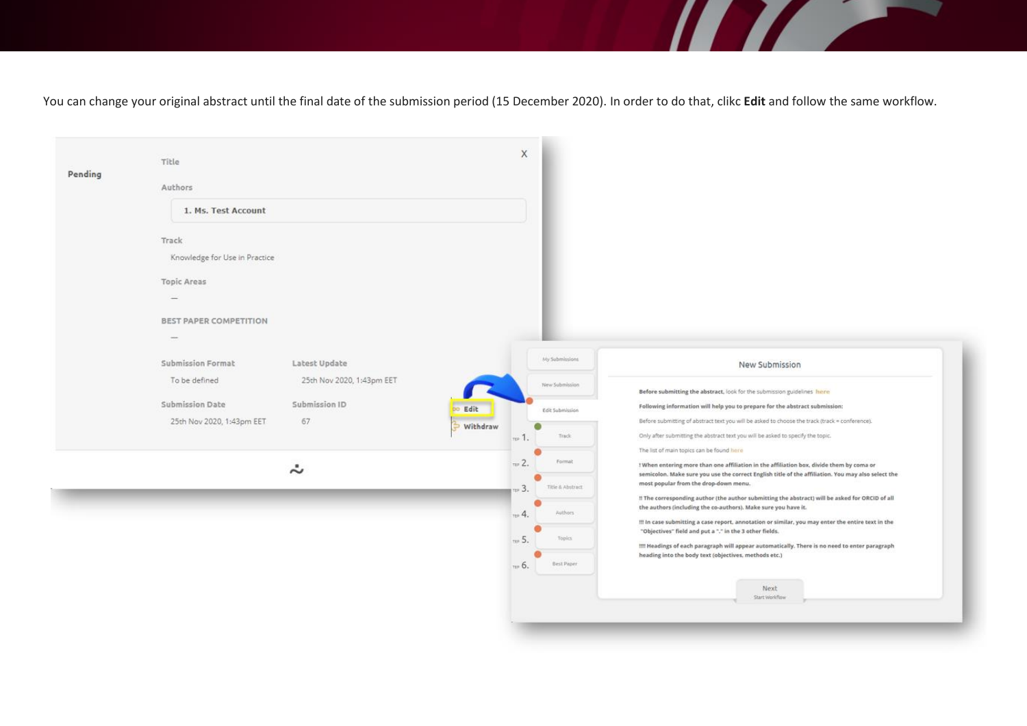You can change your original abstract until the final date of the submission period (15 December 2020). In order to do that, clikc **Edit** and follow the same workflow.

**The Company of the Company of the Company of the Company of the Company of the Company of the Company of the Company of the Company of the Company of the Company of the Company of the Company of the Company of the Company** 

| Pending | Title                                                               |                           |          | $\mathsf{X}$                  |                                                                                                                                                                                                |
|---------|---------------------------------------------------------------------|---------------------------|----------|-------------------------------|------------------------------------------------------------------------------------------------------------------------------------------------------------------------------------------------|
|         | Authors                                                             |                           |          |                               |                                                                                                                                                                                                |
|         | 1. Ms. Test Account                                                 |                           |          |                               |                                                                                                                                                                                                |
|         | Track                                                               |                           |          |                               |                                                                                                                                                                                                |
|         | Knowledge for Use in Practice                                       |                           |          |                               |                                                                                                                                                                                                |
|         | <b>Topic Areas</b>                                                  |                           |          |                               |                                                                                                                                                                                                |
|         |                                                                     |                           |          |                               |                                                                                                                                                                                                |
|         | <b>BEST PAPER COMPETITION</b>                                       |                           |          |                               |                                                                                                                                                                                                |
|         | $\frac{1}{2} \left( \frac{1}{2} \right) \left( \frac{1}{2} \right)$ |                           |          |                               |                                                                                                                                                                                                |
|         | Submission Format                                                   | Latest Update             |          | My Submissions                | New Submission                                                                                                                                                                                 |
|         | To be defined                                                       | 25th Nov 2020, 1:43pm EET |          | New Submission                | Before submitting the abstract, look for the submission guidelines here                                                                                                                        |
|         | <b>Submission Date</b>                                              | Submission ID             | Edit     | Edit Submission               | Following information will help you to prepare for the abstract submission:                                                                                                                    |
|         | 25th Nov 2020, 1:43pm EET                                           | 67                        | Withdraw | Track<br>$\approx 1$ .        | Before submitting of abstract text you will be asked to choose the track (track = conference).<br>Only after submitting the abstract text you will be asked to specify the topic.              |
|         |                                                                     |                           |          |                               | The list of main topics can be found here                                                                                                                                                      |
|         |                                                                     | ÷                         |          | $\approx$ 2.<br>Format        | ! When entering more than one affiliation in the affiliation box, divide them by coma or<br>semicolon. Make sure you use the correct English title of the affiliation. You may also select the |
|         |                                                                     |                           |          | Title & Abstract<br>$=$ 3.    | most popular from the drop-down menu.<br>!! The corresponding author (the author submitting the abstract) will be asked for ORCID of all                                                       |
|         |                                                                     |                           |          | Authors:<br>4.                | the authors (including the co-authors). Make sure you have it.<br>!!! In case submitting a case report, annotation or similar, you may enter the entire text in the                            |
|         |                                                                     |                           |          | $\approx$ 5.<br><b>Topics</b> | "Objectives" field and put a "." in the 3 other fields.<br>!!!! Headings of each paragraph will appear automatically. There is no need to enter paragraph                                      |
|         |                                                                     |                           |          | Best Paper<br>118.6           | heading into the body text (objectives, methods etc.)                                                                                                                                          |
|         |                                                                     |                           |          |                               | Next                                                                                                                                                                                           |
|         |                                                                     |                           |          |                               |                                                                                                                                                                                                |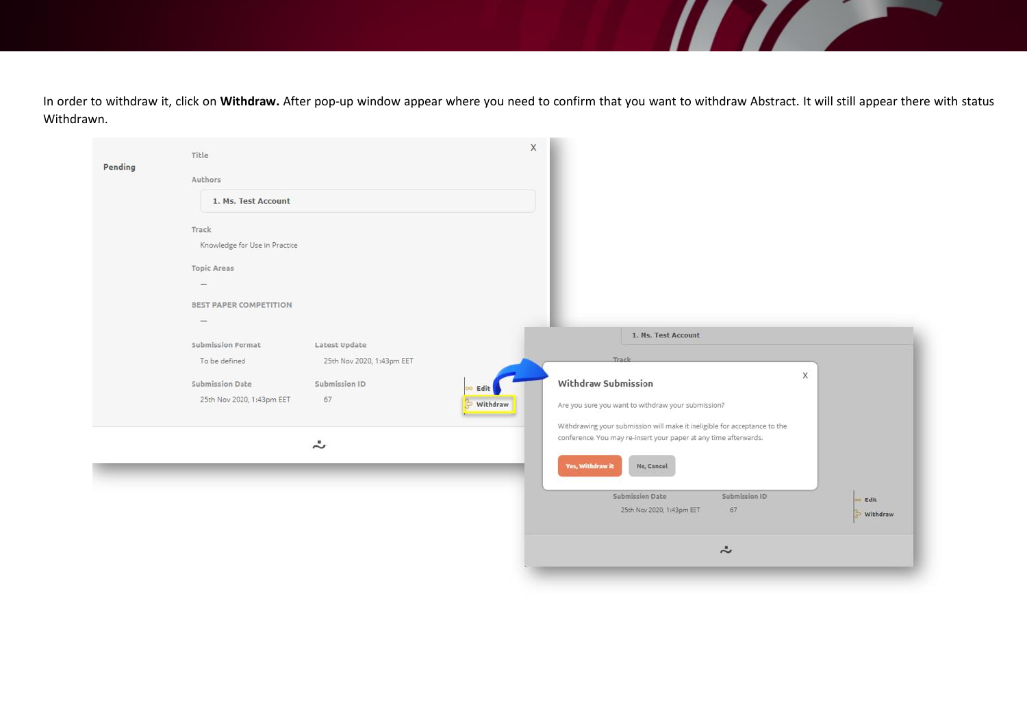In order to withdraw it, click on **Withdraw.** After pop-up window appear where you need to confirm that you want to withdraw Abstract. It will still appear there with status Withdrawn.

<u>The Community of the Community of the Community of the Community of the Community of the Community of the Comm</u>

|         |                               |                           |          | $\stackrel{\centerdot}{\sim}$                                                                      |                  |
|---------|-------------------------------|---------------------------|----------|----------------------------------------------------------------------------------------------------|------------------|
|         |                               |                           |          | Submission ID<br>Submission Date<br>25th Nov 2020, 1:43pm EET<br>67                                | Edit<br>Withdraw |
|         |                               | $\ddot{\sim}$             |          | conference. You may re-insert your paper at any time afterwards.<br>Yes, Withdraw it<br>No, Cancel |                  |
|         |                               |                           |          | Withdrawing your submission will make it ineligible for acceptance to the                          |                  |
|         | 25th Nov 2020, 1:43pm EET     | 67                        | Withdraw | Are you sure you want to withdraw your submission?                                                 |                  |
|         | Submission Date               | Submission ID             | Edit     | X<br>Withdraw Submission                                                                           |                  |
|         | To be defined                 | 25th Nov 2020, 1:43pm EET |          | Track                                                                                              |                  |
|         | Submission Format             | Latest Update             |          |                                                                                                    |                  |
|         |                               |                           |          | 1. Ms. Test Account                                                                                |                  |
|         | <b>BEST PAPER COMPETITION</b> |                           |          |                                                                                                    |                  |
|         |                               |                           |          |                                                                                                    |                  |
|         | <b>Topic Areas</b>            |                           |          |                                                                                                    |                  |
|         | Knowledge for Use in Practice |                           |          |                                                                                                    |                  |
|         | Track                         |                           |          |                                                                                                    |                  |
|         |                               |                           |          |                                                                                                    |                  |
|         | 1. Ms. Test Account           |                           |          |                                                                                                    |                  |
|         | Authors                       |                           |          |                                                                                                    |                  |
| Pending |                               |                           |          |                                                                                                    |                  |